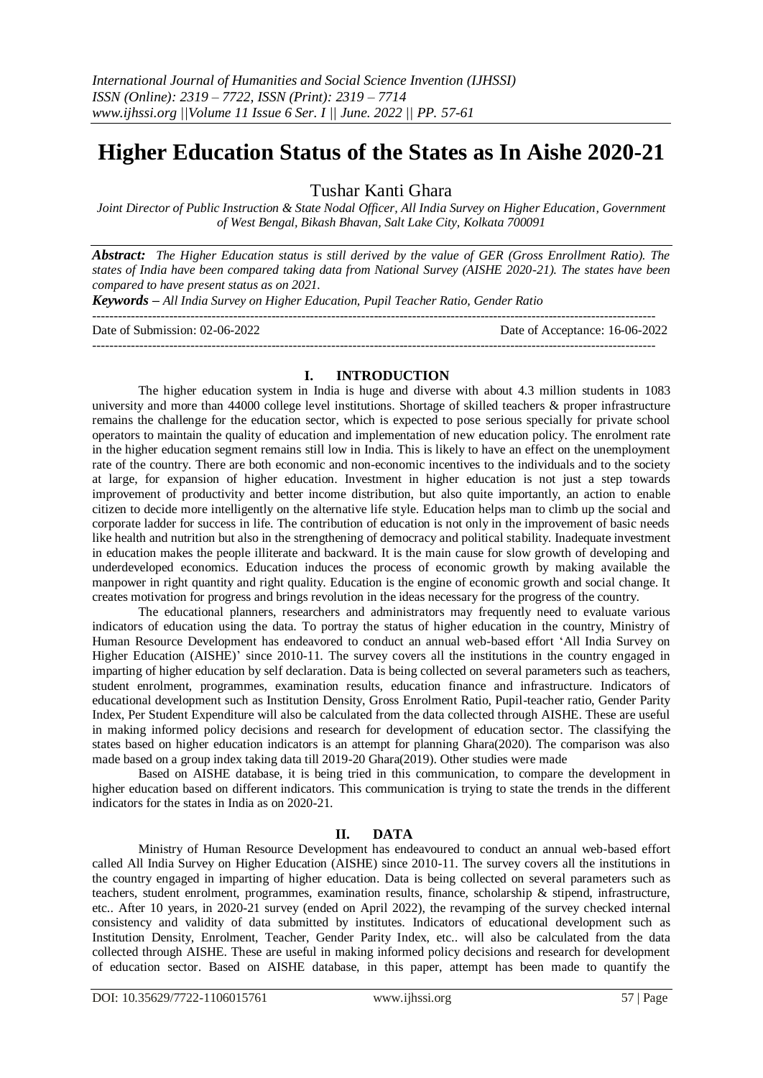# **Higher Education Status of the States as In Aishe 2020-21**

Tushar Kanti Ghara

*Joint Director of Public Instruction & State Nodal Officer, All India Survey on Higher Education, Government of West Bengal, Bikash Bhavan, Salt Lake City, Kolkata 700091*

*Abstract: The Higher Education status is still derived by the value of GER (Gross Enrollment Ratio). The states of India have been compared taking data from National Survey (AISHE 2020-21). The states have been compared to have present status as on 2021.*

*Keywords – All India Survey on Higher Education, Pupil Teacher Ratio, Gender Ratio*

------------------------------------------------------------------------------------------------------------------------------------ Date of Submission: 02-06-2022 Date of Acceptance: 16-06-2022 ------------------------------------------------------------------------------------------------------------------------------------

#### **I. INTRODUCTION**

The higher education system in India is huge and diverse with about 4.3 million students in 1083 university and more than 44000 college level institutions. Shortage of skilled teachers & proper infrastructure remains the challenge for the education sector, which is expected to pose serious specially for private school operators to maintain the quality of education and implementation of new education policy. The enrolment rate in the higher education segment remains still low in India. This is likely to have an effect on the unemployment rate of the country. There are both economic and non-economic incentives to the individuals and to the society at large, for expansion of higher education. Investment in higher education is not just a step towards improvement of productivity and better income distribution, but also quite importantly, an action to enable citizen to decide more intelligently on the alternative life style. Education helps man to climb up the social and corporate ladder for success in life. The contribution of education is not only in the improvement of basic needs like health and nutrition but also in the strengthening of democracy and political stability. Inadequate investment in education makes the people illiterate and backward. It is the main cause for slow growth of developing and underdeveloped economics. Education induces the process of economic growth by making available the manpower in right quantity and right quality. Education is the engine of economic growth and social change. It creates motivation for progress and brings revolution in the ideas necessary for the progress of the country.

The educational planners, researchers and administrators may frequently need to evaluate various indicators of education using the data. To portray the status of higher education in the country, Ministry of Human Resource Development has endeavored to conduct an annual web-based effort 'All India Survey on Higher Education (AISHE)' since 2010-11. The survey covers all the institutions in the country engaged in imparting of higher education by self declaration. Data is being collected on several parameters such as teachers, student enrolment, programmes, examination results, education finance and infrastructure. Indicators of educational development such as Institution Density, Gross Enrolment Ratio, Pupil-teacher ratio, Gender Parity Index, Per Student Expenditure will also be calculated from the data collected through AISHE. These are useful in making informed policy decisions and research for development of education sector. The classifying the states based on higher education indicators is an attempt for planning Ghara(2020). The comparison was also made based on a group index taking data till 2019-20 Ghara(2019). Other studies were made

Based on AISHE database, it is being tried in this communication, to compare the development in higher education based on different indicators. This communication is trying to state the trends in the different indicators for the states in India as on 2020-21.

#### **II. DATA**

Ministry of Human Resource Development has endeavoured to conduct an annual web-based effort called All India Survey on Higher Education (AISHE) since 2010-11. The survey covers all the institutions in the country engaged in imparting of higher education. Data is being collected on several parameters such as teachers, student enrolment, programmes, examination results, finance, scholarship & stipend, infrastructure, etc.. After 10 years, in 2020-21 survey (ended on April 2022), the revamping of the survey checked internal consistency and validity of data submitted by institutes. Indicators of educational development such as Institution Density, Enrolment, Teacher, Gender Parity Index, etc.. will also be calculated from the data collected through AISHE. These are useful in making informed policy decisions and research for development of education sector. Based on AISHE database, in this paper, attempt has been made to quantify the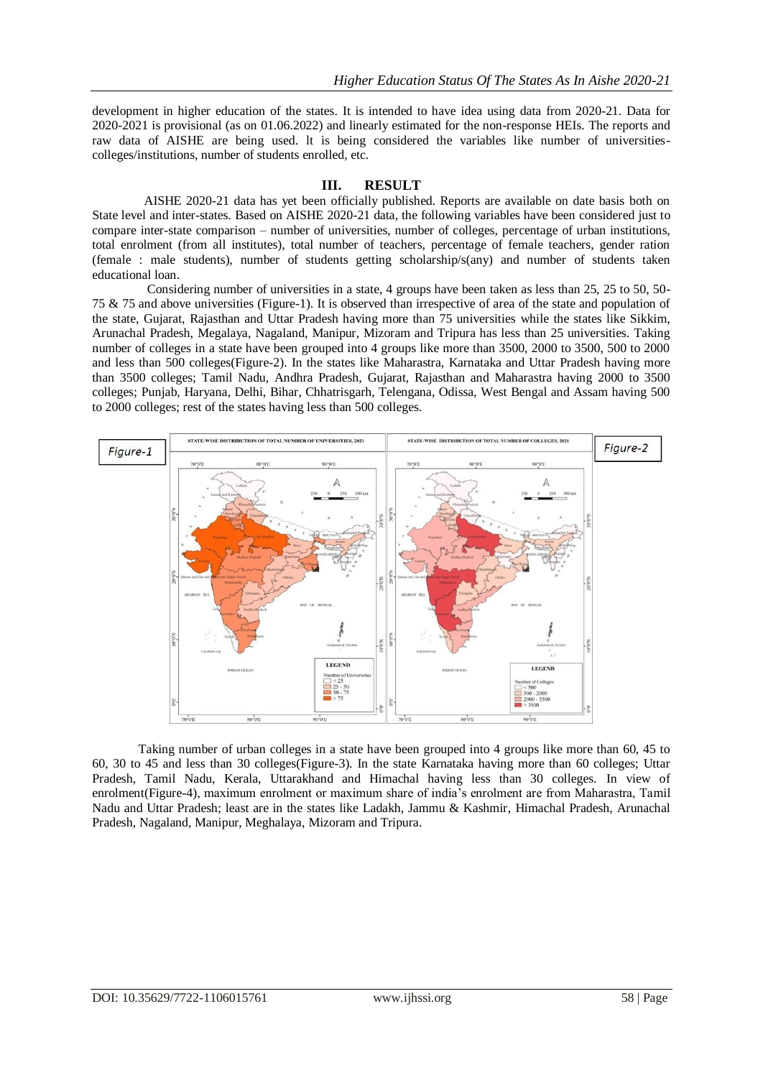development in higher education of the states. It is intended to have idea using data from 2020-21. Data for 2020-2021 is provisional (as on 01.06.2022) and linearly estimated for the non-response HEIs. The reports and raw data of AISHE are being used. lt is being considered the variables like number of universitiescolleges/institutions, number of students enrolled, etc.

### **III. RESULT**

AISHE 2020-21 data has yet been officially published. Reports are available on date basis both on State level and inter-states. Based on AISHE 2020-21 data, the following variables have been considered just to compare inter-state comparison – number of universities, number of colleges, percentage of urban institutions, total enrolment (from all institutes), total number of teachers, percentage of female teachers, gender ration (female : male students), number of students getting scholarship/s(any) and number of students taken educational loan.

Considering number of universities in a state, 4 groups have been taken as less than 25, 25 to 50, 50- 75 & 75 and above universities (Figure-1). It is observed than irrespective of area of the state and population of the state, Gujarat, Rajasthan and Uttar Pradesh having more than 75 universities while the states like Sikkim, Arunachal Pradesh, Megalaya, Nagaland, Manipur, Mizoram and Tripura has less than 25 universities. Taking number of colleges in a state have been grouped into 4 groups like more than 3500, 2000 to 3500, 500 to 2000 and less than 500 colleges(Figure-2). In the states like Maharastra, Karnataka and Uttar Pradesh having more than 3500 colleges; Tamil Nadu, Andhra Pradesh, Gujarat, Rajasthan and Maharastra having 2000 to 3500 colleges; Punjab, Haryana, Delhi, Bihar, Chhatrisgarh, Telengana, Odissa, West Bengal and Assam having 500 to 2000 colleges; rest of the states having less than 500 colleges.



Taking number of urban colleges in a state have been grouped into 4 groups like more than 60, 45 to 60, 30 to 45 and less than 30 colleges(Figure-3). In the state Karnataka having more than 60 colleges; Uttar Pradesh, Tamil Nadu, Kerala, Uttarakhand and Himachal having less than 30 colleges. In view of enrolment(Figure-4), maximum enrolment or maximum share of india's enrolment are from Maharastra, Tamil Nadu and Uttar Pradesh; least are in the states like Ladakh, Jammu & Kashmir, Himachal Pradesh, Arunachal Pradesh, Nagaland, Manipur, Meghalaya, Mizoram and Tripura.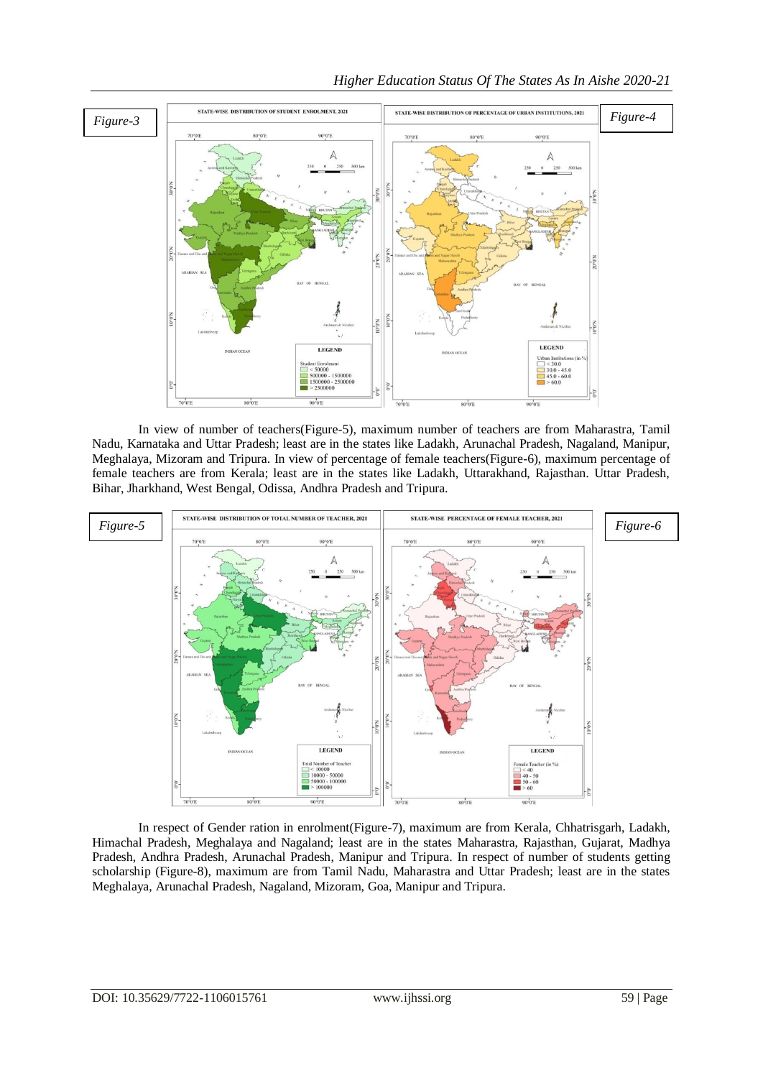

In view of number of teachers(Figure-5), maximum number of teachers are from Maharastra, Tamil Nadu, Karnataka and Uttar Pradesh; least are in the states like Ladakh, Arunachal Pradesh, Nagaland, Manipur, Meghalaya, Mizoram and Tripura. In view of percentage of female teachers(Figure-6), maximum percentage of female teachers are from Kerala; least are in the states like Ladakh, Uttarakhand, Rajasthan. Uttar Pradesh, Bihar, Jharkhand, West Bengal, Odissa, Andhra Pradesh and Tripura.



In respect of Gender ration in enrolment(Figure-7), maximum are from Kerala, Chhatrisgarh, Ladakh, Himachal Pradesh, Meghalaya and Nagaland; least are in the states Maharastra, Rajasthan, Gujarat, Madhya Pradesh, Andhra Pradesh, Arunachal Pradesh, Manipur and Tripura. In respect of number of students getting scholarship (Figure-8), maximum are from Tamil Nadu, Maharastra and Uttar Pradesh; least are in the states Meghalaya, Arunachal Pradesh, Nagaland, Mizoram, Goa, Manipur and Tripura.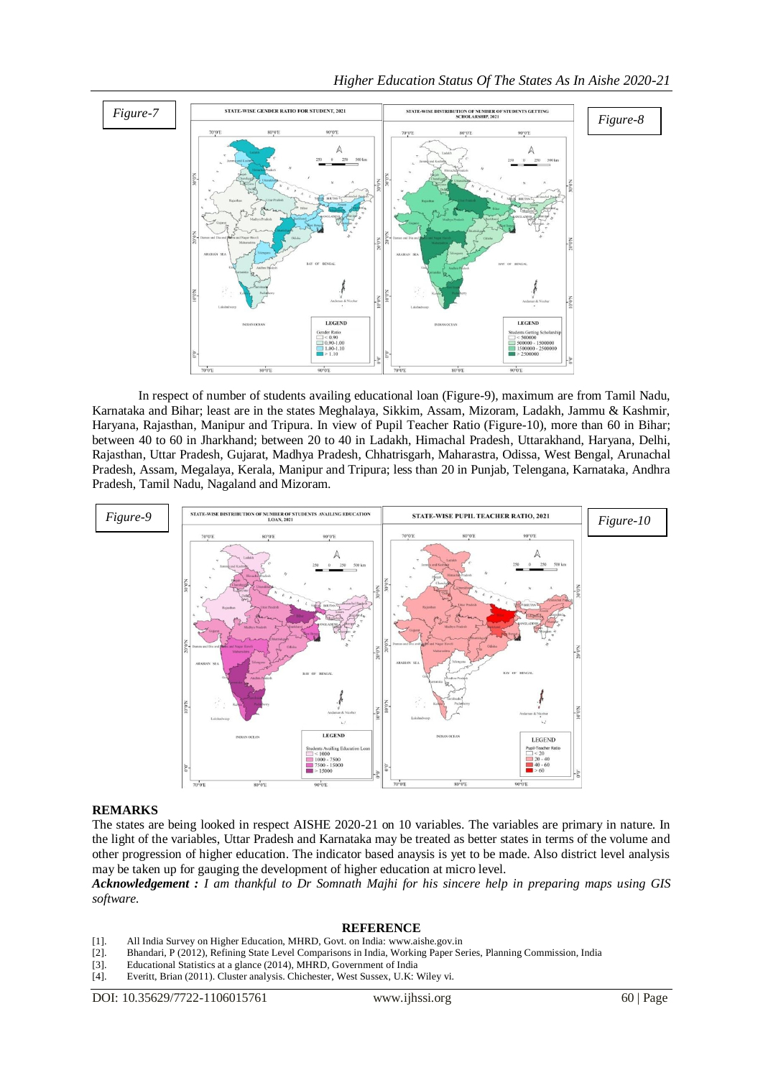

In respect of number of students availing educational loan (Figure-9), maximum are from Tamil Nadu, Karnataka and Bihar; least are in the states Meghalaya, Sikkim, Assam, Mizoram, Ladakh, Jammu & Kashmir, Haryana, Rajasthan, Manipur and Tripura. In view of Pupil Teacher Ratio (Figure-10), more than 60 in Bihar; between 40 to 60 in Jharkhand; between 20 to 40 in Ladakh, Himachal Pradesh, Uttarakhand, Haryana, Delhi, Rajasthan, Uttar Pradesh, Gujarat, Madhya Pradesh, Chhatrisgarh, Maharastra, Odissa, West Bengal, Arunachal Pradesh, Assam, Megalaya, Kerala, Manipur and Tripura; less than 20 in Punjab, Telengana, Karnataka, Andhra Pradesh, Tamil Nadu, Nagaland and Mizoram.



## **REMARKS**

The states are being looked in respect AISHE 2020-21 on 10 variables. The variables are primary in nature. In the light of the variables, Uttar Pradesh and Karnataka may be treated as better states in terms of the volume and other progression of higher education. The indicator based anaysis is yet to be made. Also district level analysis may be taken up for gauging the development of higher education at micro level.

*Acknowledgement : I am thankful to Dr Somnath Majhi for his sincere help in preparing maps using GIS software.*

#### **REFERENCE**

- [1]. All India Survey on Higher Education, MHRD, Govt. on India: www.aishe.gov.in
- [2]. Bhandari, P (2012), Refining State Level Comparisons in India, Working Paper Series, Planning Commission, India
- [3]. Educational Statistics at a glance (2014), MHRD, Government of India
- [4]. Everitt, Brian (2011). Cluster analysis. Chichester, West Sussex, U.K: Wiley vi.